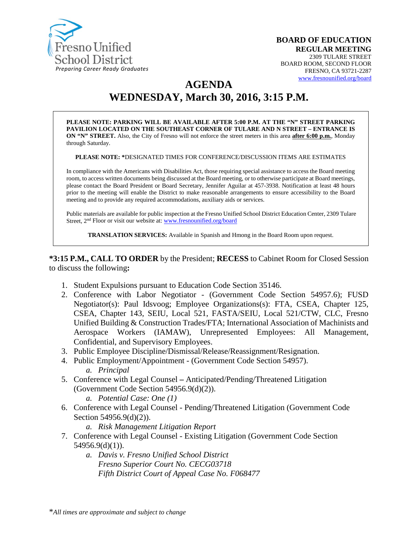

# **AGENDA WEDNESDAY, March 30, 2016, 3:15 P.M.**

**PLEASE NOTE: PARKING WILL BE AVAILABLE AFTER 5:00 P.M. AT THE "N" STREET PARKING PAVILION LOCATED ON THE SOUTHEAST CORNER OF TULARE AND N STREET – ENTRANCE IS ON "N" STREET.** Also, the City of Fresno will not enforce the street meters in this area **after 6:00 p.m.**, Monday through Saturday.

**PLEASE NOTE: \***DESIGNATED TIMES FOR CONFERENCE/DISCUSSION ITEMS ARE ESTIMATES

In compliance with the Americans with Disabilities Act, those requiring special assistance to access the Board meeting room, to access written documents being discussed at the Board meeting, or to otherwise participate at Board meetings, please contact the Board President or Board Secretary, Jennifer Aguilar at 457-3938. Notification at least 48 hours prior to the meeting will enable the District to make reasonable arrangements to ensure accessibility to the Board meeting and to provide any required accommodations, auxiliary aids or services.

Public materials are available for public inspection at the Fresno Unified School District Education Center, 2309 Tulare Street, 2nd Floor or visit our website at: [www.fresnounified.org/board](http://www.fresnounified.org/board)

**TRANSLATION SERVICES:** Available in Spanish and Hmong in the Board Room upon request.

**\*3:15 P.M., CALL TO ORDER** by the President; **RECESS** to Cabinet Room for Closed Session to discuss the following**:**

- 1. Student Expulsions pursuant to Education Code Section 35146.
- 2. Conference with Labor Negotiator (Government Code Section 54957.6); FUSD Negotiator(s): Paul Idsvoog; Employee Organizations(s): FTA, CSEA, Chapter 125, CSEA, Chapter 143, SEIU, Local 521, FASTA/SEIU, Local 521/CTW, CLC, Fresno Unified Building & Construction Trades/FTA; International Association of Machinists and Aerospace Workers (IAMAW), Unrepresented Employees: All Management, Confidential, and Supervisory Employees.
- 3. Public Employee Discipline/Dismissal/Release/Reassignment/Resignation.
- 4. Public Employment/Appointment (Government Code Section 54957). *a. Principal*
- 5. Conference with Legal Counsel **–** Anticipated/Pending/Threatened Litigation (Government Code Section 54956.9(d)(2)).
	- *a. Potential Case: One (1)*
- 6. Conference with Legal Counsel Pending/Threatened Litigation (Government Code Section 54956.9(d)(2)).

*a. Risk Management Litigation Report*

- 7. Conference with Legal Counsel Existing Litigation (Government Code Section 54956.9(d)(1)).
	- *a. Davis v. Fresno Unified School District Fresno Superior Court No. CECG03718 Fifth District Court of Appeal Case No. F068477*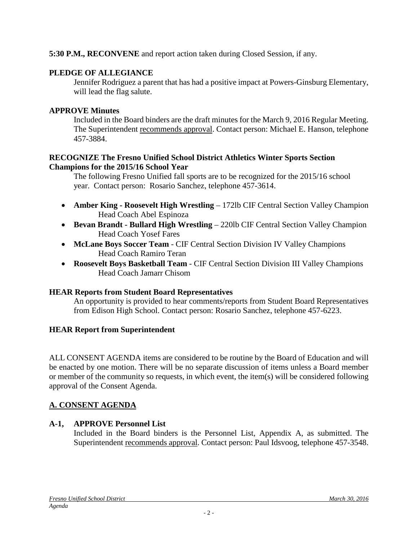### **5:30 P.M., RECONVENE** and report action taken during Closed Session, if any.

### **PLEDGE OF ALLEGIANCE**

Jennifer Rodriguez a parent that has had a positive impact at Powers-Ginsburg Elementary, will lead the flag salute.

#### **APPROVE Minutes**

Included in the Board binders are the draft minutes for the March 9, 2016 Regular Meeting. The Superintendent recommends approval. Contact person: Michael E. Hanson, telephone 457-3884.

#### **RECOGNIZE The Fresno Unified School District Athletics Winter Sports Section Champions for the 2015/16 School Year**

The following Fresno Unified fall sports are to be recognized for the 2015/16 school year. Contact person: Rosario Sanchez, telephone 457-3614.

- **Amber King Roosevelt High Wrestling** 172lb CIF Central Section Valley Champion Head Coach Abel Espinoza
- **Bevan Brandt - Bullard High Wrestling** 220lb CIF Central Section Valley Champion Head Coach Yosef Fares
- **McLane Boys Soccer Team** CIF Central Section Division IV Valley Champions Head Coach Ramiro Teran
- **Roosevelt Boys Basketball Team** CIF Central Section Division III Valley Champions Head Coach Jamarr Chisom

#### **HEAR Reports from Student Board Representatives**

An opportunity is provided to hear comments/reports from Student Board Representatives from Edison High School. Contact person: Rosario Sanchez, telephone 457-6223.

### **HEAR Report from Superintendent**

ALL CONSENT AGENDA items are considered to be routine by the Board of Education and will be enacted by one motion. There will be no separate discussion of items unless a Board member or member of the community so requests, in which event, the item(s) will be considered following approval of the Consent Agenda.

### **A. CONSENT AGENDA**

### **A-1, APPROVE Personnel List**

Included in the Board binders is the Personnel List, Appendix A, as submitted. The Superintendent recommends approval. Contact person: Paul Idsvoog, telephone 457-3548.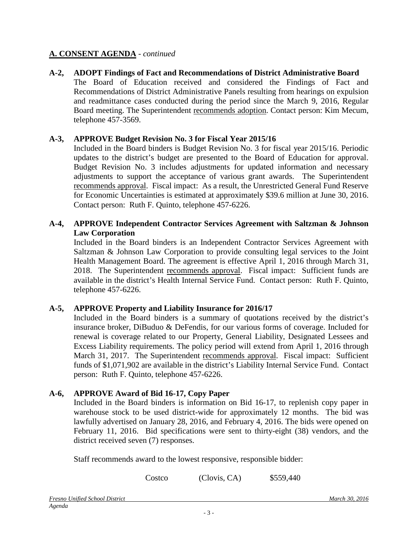**A-2, ADOPT Findings of Fact and Recommendations of District Administrative Board** The Board of Education received and considered the Findings of Fact and Recommendations of District Administrative Panels resulting from hearings on expulsion and readmittance cases conducted during the period since the March 9, 2016, Regular Board meeting. The Superintendent recommends adoption. Contact person: Kim Mecum, telephone 457-3569.

#### **A-3, APPROVE Budget Revision No. 3 for Fiscal Year 2015/16**

Included in the Board binders is Budget Revision No. 3 for fiscal year 2015/16. Periodic updates to the district's budget are presented to the Board of Education for approval. Budget Revision No. 3 includes adjustments for updated information and necessary adjustments to support the acceptance of various grant awards. The Superintendent recommends approval. Fiscal impact: As a result, the Unrestricted General Fund Reserve for Economic Uncertainties is estimated at approximately \$39.6 million at June 30, 2016. Contact person: Ruth F. Quinto, telephone 457-6226.

#### **A-4, APPROVE Independent Contractor Services Agreement with Saltzman & Johnson Law Corporation**

Included in the Board binders is an Independent Contractor Services Agreement with Saltzman & Johnson Law Corporation to provide consulting legal services to the Joint Health Management Board. The agreement is effective April 1, 2016 through March 31, 2018. The Superintendent recommends approval. Fiscal impact: Sufficient funds are available in the district's Health Internal Service Fund. Contact person: Ruth F. Quinto, telephone 457-6226.

#### **A-5, APPROVE Property and Liability Insurance for 2016/17**

Included in the Board binders is a summary of quotations received by the district's insurance broker, DiBuduo & DeFendis, for our various forms of coverage. Included for renewal is coverage related to our Property, General Liability, Designated Lessees and Excess Liability requirements. The policy period will extend from April 1, 2016 through March 31, 2017. The Superintendent recommends approval. Fiscal impact: Sufficient funds of \$1,071,902 are available in the district's Liability Internal Service Fund. Contact person: Ruth F. Quinto, telephone 457-6226.

#### **A-6, APPROVE Award of Bid 16-17, Copy Paper**

Included in the Board binders is information on Bid 16-17, to replenish copy paper in warehouse stock to be used district-wide for approximately 12 months. The bid was lawfully advertised on January 28, 2016, and February 4, 2016. The bids were opened on February 11, 2016. Bid specifications were sent to thirty-eight (38) vendors, and the district received seven (7) responses.

Staff recommends award to the lowest responsive, responsible bidder:

Costco (Clovis, CA) \$559,440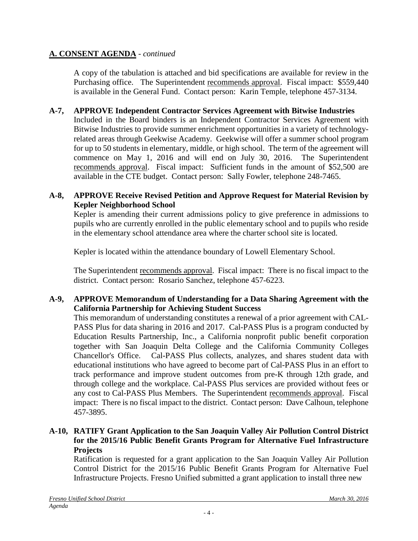A copy of the tabulation is attached and bid specifications are available for review in the Purchasing office. The Superintendent recommends approval. Fiscal impact: \$559,440 is available in the General Fund. Contact person: Karin Temple, telephone 457-3134.

### **A-7, APPROVE Independent Contractor Services Agreement with Bitwise Industries**

Included in the Board binders is an Independent Contractor Services Agreement with Bitwise Industries to provide summer enrichment opportunities in a variety of technologyrelated areas through Geekwise Academy. Geekwise will offer a summer school program for up to 50 students in elementary, middle, or high school. The term of the agreement will commence on May 1, 2016 and will end on July 30, 2016. The Superintendent recommends approval. Fiscal impact: Sufficient funds in the amount of \$52,500 are available in the CTE budget. Contact person: Sally Fowler, telephone 248-7465.

#### **A-8, APPROVE Receive Revised Petition and Approve Request for Material Revision by Kepler Neighborhood School**

Kepler is amending their current admissions policy to give preference in admissions to pupils who are currently enrolled in the public elementary school and to pupils who reside in the elementary school attendance area where the charter school site is located.

Kepler is located within the attendance boundary of Lowell Elementary School.

The Superintendent recommends approval. Fiscal impact: There is no fiscal impact to the district. Contact person: Rosario Sanchez, telephone 457-6223.

### **A-9, APPROVE Memorandum of Understanding for a Data Sharing Agreement with the California Partnership for Achieving Student Success**

This memorandum of understanding constitutes a renewal of a prior agreement with CAL-PASS Plus for data sharing in 2016 and 2017. Cal-PASS Plus is a program conducted by Education Results Partnership, Inc., a California nonprofit public benefit corporation together with San Joaquin Delta College and the California Community Colleges Chancellor's Office. Cal-PASS Plus collects, analyzes, and shares student data with educational institutions who have agreed to become part of Cal-PASS Plus in an effort to track performance and improve student outcomes from pre-K through 12th grade, and through college and the workplace. Cal-PASS Plus services are provided without fees or any cost to Cal-PASS Plus Members. The Superintendent recommends approval. Fiscal impact: There is no fiscal impact to the district. Contact person: Dave Calhoun, telephone 457-3895.

### **A-10, RATIFY Grant Application to the San Joaquin Valley Air Pollution Control District for the 2015/16 Public Benefit Grants Program for Alternative Fuel Infrastructure Projects**

Ratification is requested for a grant application to the San Joaquin Valley Air Pollution Control District for the 2015/16 Public Benefit Grants Program for Alternative Fuel Infrastructure Projects. Fresno Unified submitted a grant application to install three new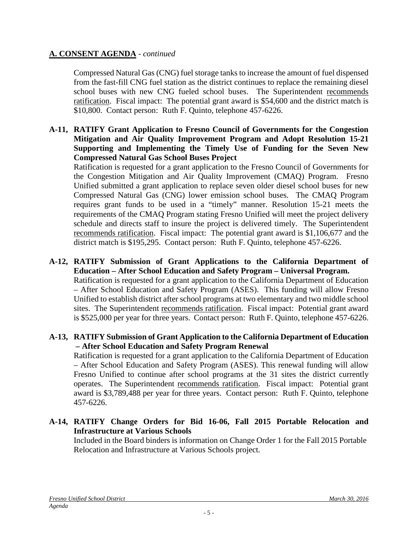Compressed Natural Gas (CNG) fuel storage tanks to increase the amount of fuel dispensed from the fast-fill CNG fuel station as the district continues to replace the remaining diesel school buses with new CNG fueled school buses. The Superintendent recommends ratification. Fiscal impact: The potential grant award is \$54,600 and the district match is \$10,800. Contact person: Ruth F. Quinto, telephone 457-6226.

**A-11, RATIFY Grant Application to Fresno Council of Governments for the Congestion Mitigation and Air Quality Improvement Program and Adopt Resolution 15-21 Supporting and Implementing the Timely Use of Funding for the Seven New Compressed Natural Gas School Buses Project**

Ratification is requested for a grant application to the Fresno Council of Governments for the Congestion Mitigation and Air Quality Improvement (CMAQ) Program. Fresno Unified submitted a grant application to replace seven older diesel school buses for new Compressed Natural Gas (CNG) lower emission school buses. The CMAQ Program requires grant funds to be used in a "timely" manner. Resolution 15-21 meets the requirements of the CMAQ Program stating Fresno Unified will meet the project delivery schedule and directs staff to insure the project is delivered timely. The Superintendent recommends ratification. Fiscal impact: The potential grant award is \$1,106,677 and the district match is \$195,295. Contact person: Ruth F. Quinto, telephone 457-6226.

# **A-12, RATIFY Submission of Grant Applications to the California Department of Education – After School Education and Safety Program – Universal Program.**

Ratification is requested for a grant application to the California Department of Education – After School Education and Safety Program (ASES). This funding will allow Fresno Unified to establish district after school programs at two elementary and two middle school sites. The Superintendent recommends ratification. Fiscal impact: Potential grant award is \$525,000 per year for three years. Contact person: Ruth F. Quinto, telephone 457-6226.

#### **A-13, RATIFY Submission of Grant Application to the California Department of Education – After School Education and Safety Program Renewal**

Ratification is requested for a grant application to the California Department of Education – After School Education and Safety Program (ASES). This renewal funding will allow Fresno Unified to continue after school programs at the 31 sites the district currently operates. The Superintendent recommends ratification. Fiscal impact: Potential grant award is \$3,789,488 per year for three years. Contact person: Ruth F. Quinto, telephone 457-6226.

### **A-14, RATIFY Change Orders for Bid 16-06, Fall 2015 Portable Relocation and Infrastructure at Various Schools**

Included in the Board binders is information on Change Order 1 for the Fall 2015 Portable Relocation and Infrastructure at Various Schools project*.*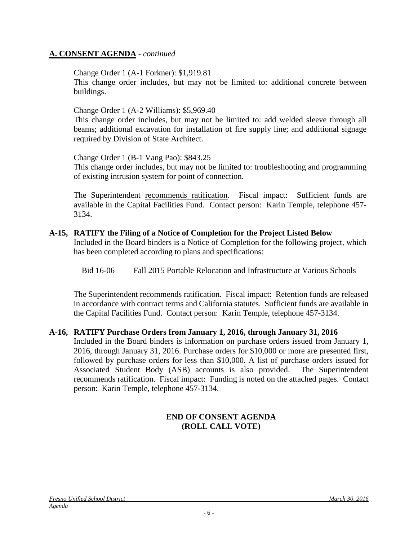Change Order 1 (A-1 Forkner): \$1,919.81

This change order includes, but may not be limited to: additional concrete between buildings.

Change Order 1 (A-2 Williams): \$5,969.40

This change order includes, but may not be limited to: add welded sleeve through all beams; additional excavation for installation of fire supply line; and additional signage required by Division of State Architect.

Change Order 1 (B-1 Vang Pao): \$843.25

This change order includes, but may not be limited to: troubleshooting and programming of existing intrusion system for point of connection.

The Superintendent recommends ratification. Fiscal impact: Sufficient funds are available in the Capital Facilities Fund. Contact person: Karin Temple, telephone 457- 3134.

#### **A-15, RATIFY the Filing of a Notice of Completion for the Project Listed Below**

Included in the Board binders is a Notice of Completion for the following project, which has been completed according to plans and specifications:

Bid 16-06 Fall 2015 Portable Relocation and Infrastructure at Various Schools

The Superintendent recommends ratification. Fiscal impact: Retention funds are released in accordance with contract terms and California statutes. Sufficient funds are available in the Capital Facilities Fund. Contact person: Karin Temple, telephone 457-3134.

#### **A-16, RATIFY Purchase Orders from January 1, 2016, through January 31, 2016**

Included in the Board binders is information on purchase orders issued from January 1, 2016, through January 31, 2016. Purchase orders for \$10,000 or more are presented first, followed by purchase orders for less than \$10,000. A list of purchase orders issued for Associated Student Body (ASB) accounts is also provided. The Superintendent recommends ratification. Fiscal impact: Funding is noted on the attached pages. Contact person: Karin Temple, telephone 457-3134.

#### **END OF CONSENT AGENDA (ROLL CALL VOTE)**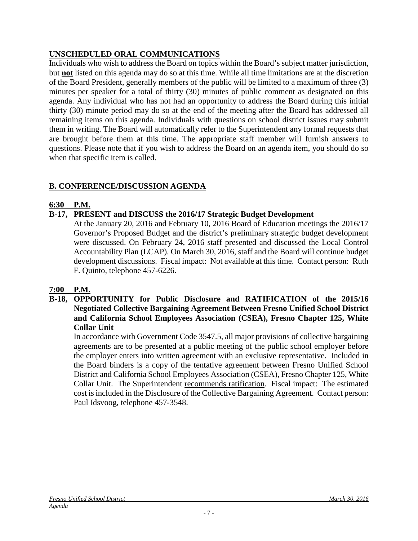# **UNSCHEDULED ORAL COMMUNICATIONS**

Individuals who wish to address the Board on topics within the Board's subject matter jurisdiction, but **not** listed on this agenda may do so at this time. While all time limitations are at the discretion of the Board President, generally members of the public will be limited to a maximum of three (3) minutes per speaker for a total of thirty (30) minutes of public comment as designated on this agenda. Any individual who has not had an opportunity to address the Board during this initial thirty (30) minute period may do so at the end of the meeting after the Board has addressed all remaining items on this agenda. Individuals with questions on school district issues may submit them in writing. The Board will automatically refer to the Superintendent any formal requests that are brought before them at this time. The appropriate staff member will furnish answers to questions. Please note that if you wish to address the Board on an agenda item, you should do so when that specific item is called.

## **B. CONFERENCE/DISCUSSION AGENDA**

### **6:30 P.M.**

## **B-17, PRESENT and DISCUSS the 2016/17 Strategic Budget Development**

At the January 20, 2016 and February 10, 2016 Board of Education meetings the 2016/17 Governor's Proposed Budget and the district's preliminary strategic budget development were discussed. On February 24, 2016 staff presented and discussed the Local Control Accountability Plan (LCAP). On March 30, 2016, staff and the Board will continue budget development discussions. Fiscal impact: Not available at this time. Contact person: Ruth F. Quinto, telephone 457-6226.

### **7:00 P.M.**

**B-18, OPPORTUNITY for Public Disclosure and RATIFICATION of the 2015/16 Negotiated Collective Bargaining Agreement Between Fresno Unified School District and California School Employees Association (CSEA), Fresno Chapter 125, White Collar Unit**

In accordance with Government Code 3547.5, all major provisions of collective bargaining agreements are to be presented at a public meeting of the public school employer before the employer enters into written agreement with an exclusive representative. Included in the Board binders is a copy of the tentative agreement between Fresno Unified School District and California School Employees Association (CSEA), Fresno Chapter 125, White Collar Unit. The Superintendent recommends ratification. Fiscal impact: The estimated cost is included in the Disclosure of the Collective Bargaining Agreement. Contact person: Paul Idsvoog, telephone 457-3548.